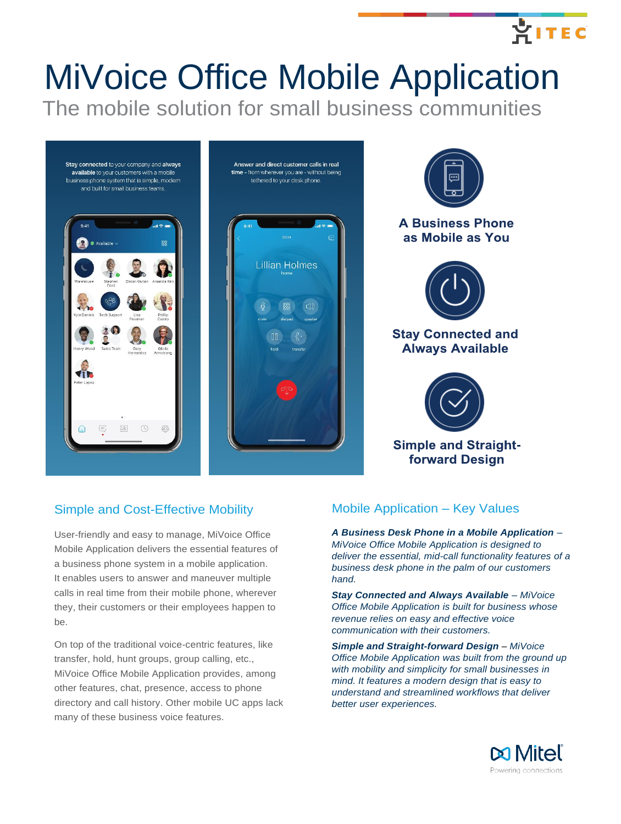# MiVoice Office Mobile Application The mobile solution for small business communities



## Simple and Cost-Effective Mobility

User-friendly and easy to manage, MiVoice Office Mobile Application delivers the essential features of a business phone system in a mobile application. It enables users to answer and maneuver multiple calls in real time from their mobile phone, wherever they, their customers or their employees happen to be.

On top of the traditional voice-centric features, like transfer, hold, hunt groups, group calling, etc., MiVoice Office Mobile Application provides, among other features, chat, presence, access to phone directory and call history. Other mobile UC apps lack many of these business voice features.

## Mobile Application – Key Values

*A Business Desk Phone in a Mobile Application – MiVoice Office Mobile Application is designed to deliver the essential, mid-call functionality features of a business desk phone in the palm of our customers hand.*

*Stay Connected and Always Available – MiVoice Office Mobile Application is built for business whose revenue relies on easy and effective voice communication with their customers.*

**Simple and Straight-forward Design - MiVoice** *Office Mobile Application was built from the ground up with mobility and simplicity for small businesses in mind. It features a modern design that is easy to understand and streamlined workflows that deliver better user experiences.*



**AITEC**